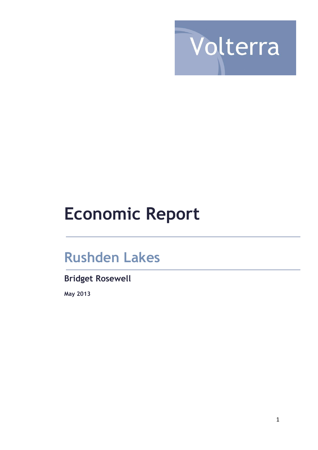

# **Economic Report**

# **Rushden Lakes**

# **Bridget Rosewell**

**May 2013**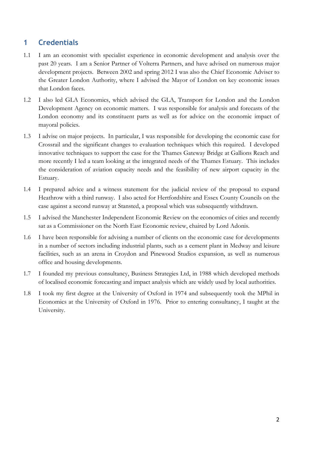# **1 Credentials**

- 1.1 I am an economist with specialist experience in economic development and analysis over the past 20 years. I am a Senior Partner of Volterra Partners, and have advised on numerous major development projects. Between 2002 and spring 2012 I was also the Chief Economic Adviser to the Greater London Authority, where I advised the Mayor of London on key economic issues that London faces.
- 1.2 I also led GLA Economics, which advised the GLA, Transport for London and the London Development Agency on economic matters. I was responsible for analysis and forecasts of the London economy and its constituent parts as well as for advice on the economic impact of mayoral policies.
- 1.3 I advise on major projects. In particular, I was responsible for developing the economic case for Crossrail and the significant changes to evaluation techniques which this required. I developed innovative techniques to support the case for the Thames Gateway Bridge at Gallions Reach and more recently I led a team looking at the integrated needs of the Thames Estuary. This includes the consideration of aviation capacity needs and the feasibility of new airport capacity in the Estuary.
- 1.4 I prepared advice and a witness statement for the judicial review of the proposal to expand Heathrow with a third runway. I also acted for Hertfordshire and Essex County Councils on the case against a second runway at Stansted, a proposal which was subsequently withdrawn.
- 1.5 I advised the Manchester Independent Economic Review on the economics of cities and recently sat as a Commissioner on the North East Economic review, chaired by Lord Adonis.
- 1.6 I have been responsible for advising a number of clients on the economic case for developments in a number of sectors including industrial plants, such as a cement plant in Medway and leisure facilities, such as an arena in Croydon and Pinewood Studios expansion, as well as numerous office and housing developments.
- 1.7 I founded my previous consultancy, Business Strategies Ltd, in 1988 which developed methods of localised economic forecasting and impact analysis which are widely used by local authorities.
- 1.8 I took my first degree at the University of Oxford in 1974 and subsequently took the MPhil in Economics at the University of Oxford in 1976. Prior to entering consultancy, I taught at the University.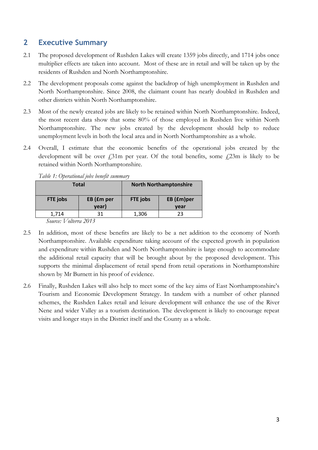# **2 Executive Summary**

- 2.1 The proposed development of Rushden Lakes will create 1359 jobs directly, and 1714 jobs once multiplier effects are taken into account. Most of these are in retail and will be taken up by the residents of Rushden and North Northamptonshire.
- 2.2 The development proposals come against the backdrop of high unemployment in Rushden and North Northamptonshire. Since 2008, the claimant count has nearly doubled in Rushden and other districts within North Northamptonshire.
- 2.3 Most of the newly created jobs are likely to be retained within North Northamptonshire. Indeed, the most recent data show that some 80% of those employed in Rushden live within North Northamptonshire. The new jobs created by the development should help to reduce unemployment levels in both the local area and in North Northamptonshire as a whole.
- 2.4 Overall, I estimate that the economic benefits of the operational jobs created by the development will be over  $\ell$ ,31m per year. Of the total benefits, some  $\ell$ ,23m is likely to be retained within North Northamptonshire.

| <b>Total</b> |            |                        | <b>North Northamptonshire</b> |  |  |
|--------------|------------|------------------------|-------------------------------|--|--|
| FTE jobs     | EB (£m per | EB (£m)per<br>FTE jobs |                               |  |  |
|              | year)      |                        | year                          |  |  |
| 1,714        | 31         | 1,306                  | 23                            |  |  |
|              |            |                        |                               |  |  |

*Table 1: Operational jobs benefit summary*

*Source: Volterra 2013*

- 2.5 In addition, most of these benefits are likely to be a net addition to the economy of North Northamptonshire. Available expenditure taking account of the expected growth in population and expenditure within Rushden and North Northamptonshire is large enough to accommodate the additional retail capacity that will be brought about by the proposed development. This supports the minimal displacement of retail spend from retail operations in Northamptonshire shown by Mr Burnett in his proof of evidence.
- 2.6 Finally, Rushden Lakes will also help to meet some of the key aims of East Northamptonshire's Tourism and Economic Development Strategy. In tandem with a number of other planned schemes, the Rushden Lakes retail and leisure development will enhance the use of the River Nene and wider Valley as a tourism destination. The development is likely to encourage repeat visits and longer stays in the District itself and the County as a whole.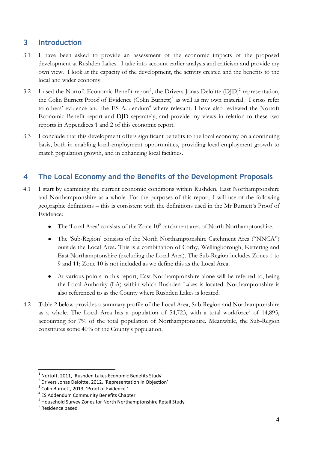# **3 Introduction**

- 3.1 I have been asked to provide an assessment of the economic impacts of the proposed development at Rushden Lakes. I take into account earlier analysis and criticism and provide my own view. I look at the capacity of the development, the activity created and the benefits to the local and wider economy.
- 3.2 I used the Nortoft Economic Benefit report<sup>1</sup>, the Drivers Jonas Deloitte  $(D/D)^2$  representation, the Colin Burnett Proof of Evidence (Colin Burnett) 3 as well as my own material. I cross refer to others' evidence and the ES Addendum<sup>4</sup> where relevant. I have also reviewed the Nortoft Economic Benefit report and DJD separately, and provide my views in relation to these two reports in Appendices 1 and 2 of this economic report.
- 3.3 I conclude that this development offers significant benefits to the local economy on a continuing basis, both in enabling local employment opportunities, providing local employment growth to match population growth, and in enhancing local facilities.

# **4 The Local Economy and the Benefits of the Development Proposals**

- 4.1 I start by examining the current economic conditions within Rushden, East Northamptonshire and Northamptonshire as a whole. For the purposes of this report, I will use of the following geographic definitions – this is consistent with the definitions used in the Mr Burnett's Proof of Evidence:
	- The 'Local Area' consists of the Zone 10<sup>5</sup> catchment area of North Northamptonshire.
	- $\bullet$ The 'Sub-Region' consists of the North Northamptonshire Catchment Area ("NNCA") outside the Local Area. This is a combination of Corby, Wellingborough, Kettering and East Northamptonshire (excluding the Local Area). The Sub-Region includes Zones 1 to 9 and 11; Zone 10 is not included as we define this as the Local Area.
	- At various points in this report, East Northamptonshire alone will be referred to, being the Local Authority (LA) within which Rushden Lakes is located. Northamptonshire is also referenced to as the County where Rushden Lakes is located.
- 4.2 Table 2 below provides a summary profile of the Local Area, Sub-Region and Northamptonshire as a whole. The Local Area has a population of  $54,723$ , with a total workforce<sup>6</sup> of  $14,895$ , accounting for 7% of the total population of Northamptonshire. Meanwhile, the Sub-Region constitutes some 40% of the County's population.

<sup>1</sup> Nortoft, 2011, 'Rushden Lakes Economic Benefits Study'

<sup>&</sup>lt;sup>2</sup> Drivers Jonas Deloitte, 2012, 'Representation in Objection'

<sup>&</sup>lt;sup>3</sup> Colin Burnett, 2013, 'Proof of Evidence '

<sup>4</sup> ES Addendum Community Benefits Chapter

<sup>&</sup>lt;sup>5</sup> Household Survey Zones for North Northamptonshire Retail Study

<sup>&</sup>lt;sup>6</sup> Residence based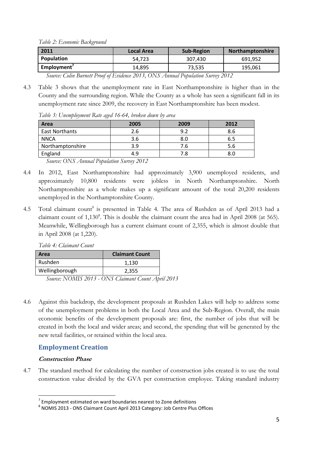*Table 2: Economic Background*

| 2011                                                                           | <b>Local Area</b> | <b>Sub-Region</b> | <b>Northamptonshire</b> |  |
|--------------------------------------------------------------------------------|-------------------|-------------------|-------------------------|--|
| Population                                                                     | 54.723            | 307.430           | 691,952                 |  |
| Employment <sup>'</sup>                                                        | 14.895            | 73,535            | 195,061                 |  |
| Course Colin Remet Droof of Enideese 2012, ONC, Annual Depulation Current 2012 |                   |                   |                         |  |

*Source: Colin Burnett Proof of Evidence 2013, ONS Annual Population Survey 2012*

4.3 Table 3 shows that the unemployment rate in East Northamptonshire is higher than in the County and the surrounding region. While the County as a whole has seen a significant fall in its unemployment rate since 2009, the recovery in East Northamptonshire has been modest.

*Table 3: Unemployment Rate aged 16-64, broken down by area*

| Area                                                               | 2005                                                | 2009 | 2012 |  |  |
|--------------------------------------------------------------------|-----------------------------------------------------|------|------|--|--|
| East Northants                                                     | 2.6                                                 | 9.2  | 8.6  |  |  |
| <b>NNCA</b>                                                        | 3.6                                                 | 8.0  | 6.5  |  |  |
| Northamptonshire                                                   | 3.9                                                 | 7.6  | 5.6  |  |  |
| England                                                            | 4.9                                                 | 7.8  | 8.0  |  |  |
| $\sim$ $\sim$<br>$\sim$<br>$\bigcap$ $\bigcap$ $\bigcap$ $\bigcap$ | $\mathbf{r}$ . $\mathbf{r}$<br>$\sim$ $\sim$ $\sim$ |      |      |  |  |

*Source: ONS Annual Population Survey 2012*

- 4.4 In 2012, East Northamptonshire had approximately 3,900 unemployed residents, and approximately 10,800 residents were jobless in North Northamptonshire. North Northamptonshire as a whole makes up a significant amount of the total 20,200 residents unemployed in the Northamptonshire County.
- 4.5 To[t](#page-4-0)al claimant count<sup>8</sup> is presented in Table 4. The area of Rushden as of April 2013 had a claimant count of 1,130<sup>8</sup>. This is double the claimant count the area had in April 2008 (at 565). Meanwhile, Wellingborough has a current claimant count of 2,355, which is almost double that in April 2008 (at 1,220).

<span id="page-4-0"></span>

| Table 4: Claimant Count |                       |
|-------------------------|-----------------------|
| Area                    | <b>Claimant Count</b> |
| Rushden                 | 1,130                 |
| Wellingborough          | 2,355                 |

*Source: NOMIS 2013 - ONS Claimant Count April 2013*

4.6 Against this backdrop, the development proposals at Rushden Lakes will help to address some of the unemployment problems in both the Local Area and the Sub-Region. Overall, the main economic benefits of the development proposals are: first, the number of jobs that will be created in both the local and wider areas; and second, the spending that will be generated by the new retail facilities, or retained within the local area.

#### **Employment Creation**

#### **Construction Phase**

**.** 

4.7 The standard method for calculating the number of construction jobs created is to use the total construction value divided by the GVA per construction employee. Taking standard industry

 $<sup>7</sup>$  Employment estimated on ward boundaries nearest to Zone definitions</sup>

<sup>8</sup> NOMIS 2013 - ONS Claimant Count April 2013 Category: Job Centre Plus Offices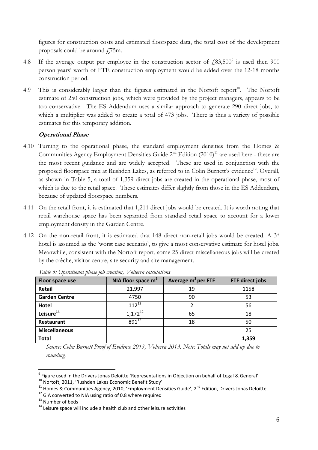figures for construction costs and estimated floorspace data, the total cost of the development proposals could be around  $\frac{1}{75}$ m.

- 4.8 If the average output per employee in the construction sector of  $\text{\textsterling}83,500^{\circ}$  is used then 900 person years' worth of FTE construction employment would be added over the 12-18 months construction period.
- 4.9 This is considerably larger than the figures estimated in the Nortoft report<sup>10</sup>. The Nortoft estimate of 250 construction jobs, which were provided by the project managers, appears to be too conservative. The ES Addendum uses a similar approach to generate 290 direct jobs, to which a multiplier was added to create a total of 473 jobs. There is thus a variety of possible estimates for this temporary addition.

#### <span id="page-5-0"></span>**Operational Phase**

- 4.10 Turning to the operational phase, the standard employment densities from the Homes & Communities Agency Employment Densities Guide  $2^{nd}$  Edition  $(2010)^{11}$  are used here - these are the most recent guidance and are widely accepted. These are used in conjunction with the proposed floorspace mix at Rushden Lakes, as referred to in Colin Burnett's evidence<sup>12</sup>. Overall, as shown in Table 5, a total of 1,359 direct jobs are created in the operational phase, most of which is due to the retail space. These estimates differ slightly from those in the ES Addendum, because of updated floorspace numbers.
- 4.11 On the retail front, it is estimated that 1,211 direct jobs would be created. It is worth noting that retail warehouse space has been separated from standard retail space to account for a lower employment density in the Garden Centre.
- 4.12 On the non-retail front, it is estimated that 148 direct non-retail jobs would be created. A 3\* hotel is assumed as the 'worst case scenario', to give a most conservative estimate for hotel jobs. Meanwhile, consistent with the Nortoft report, some 25 direct miscellaneous jobs will be created by the crèche, visitor centre, site security and site management.

| Floor space use       | NIA floor space m <sup>2</sup> | Average $m^2$ per FTE | <b>FTE direct jobs</b> |
|-----------------------|--------------------------------|-----------------------|------------------------|
| <b>Retail</b>         | 21,997                         | 19                    | 1158                   |
| <b>Garden Centre</b>  | 4750                           | 90                    | 53                     |
| <b>Hotel</b>          | $112^{13}$                     | 2                     | 56                     |
| Leisure <sup>14</sup> | $1,172^{12}$                   | 65                    | 18                     |
| <b>Restaurant</b>     | $891^{12}$                     | 18                    | 50                     |
| <b>Miscellaneous</b>  |                                |                       | 25                     |
| <b>Total</b>          |                                |                       | 1,359                  |

*Table 5: Operational phase job creation, Volterra calculations* 

*Source: Colin Burnett Proof of Evidence 2013, Volterra 2013. Note: Totals may not add up due to rounding.*

<sup>&</sup>lt;sup>9</sup> Figure used in the Drivers Jonas Deloitte 'Representations in Objection on behalf of Legal & General'

<sup>10</sup> Nortoft, 2011, 'Rushden Lakes Economic Benefit Study'

<sup>&</sup>lt;sup>11</sup> Homes & Communities Agency, 2010, 'Employment Densities Guide', 2<sup>nd</sup> Edition, Drivers Jonas Deloitte

<sup>&</sup>lt;sup>12</sup> GIA converted to NIA using ratio of 0.8 where required

<sup>&</sup>lt;sup>13</sup> Number of beds

 $14$  Leisure space will include a health club and other leisure activities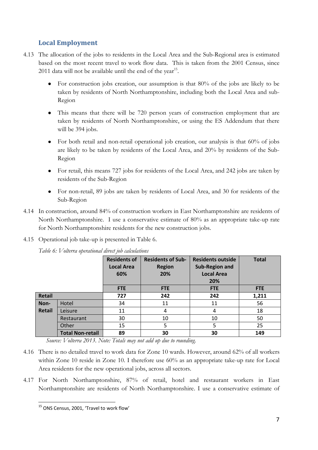## **Local Employment**

- 4.13 The allocation of the jobs to residents in the Local Area and the Sub-Regional area is estimated based on the most recent travel to work flow data. This is taken from the 2001 Census, since 2011 data will not be available until the end of the year<sup>15</sup>.
	- For construction jobs creation, our assumption is that 80% of the jobs are likely to be taken by residents of North Northamptonshire, including both the Local Area and sub-Region
	- This means that there will be 720 person years of construction employment that are taken by residents of North Northamptonshire, or using the ES Addendum that there will be 394 jobs.
	- For both retail and non-retail operational job creation, our analysis is that 60% of jobs are likely to be taken by residents of the Local Area, and 20% by residents of the Sub-Region
	- For retail, this means 727 jobs for residents of the Local Area, and 242 jobs are taken by residents of the Sub-Region
	- For non-retail, 89 jobs are taken by residents of Local Area, and 30 for residents of the Sub-Region
- 4.14 In construction, around 84% of construction workers in East Northamptonshire are residents of North Northamptonshire. I use a conservative estimate of 80% as an appropriate take-up rate for North Northamptonshire residents for the new construction jobs.
- 4.15 Operational job take-up is presented in Table 6.

|               |                         | <b>Residents of</b><br><b>Local Area</b><br>60% | <b>Residents of Sub-</b><br><b>Region</b><br>20% | <b>Residents outside</b><br><b>Sub-Region and</b><br><b>Local Area</b><br>20% | <b>Total</b> |
|---------------|-------------------------|-------------------------------------------------|--------------------------------------------------|-------------------------------------------------------------------------------|--------------|
|               |                         | <b>FTE</b>                                      | <b>FTE</b>                                       | <b>FTE</b>                                                                    | <b>FTE</b>   |
| <b>Retail</b> |                         | 727                                             | 242                                              | 242                                                                           | 1,211        |
| Non-          | Hotel                   | 34                                              | 11                                               | 11                                                                            | 56           |
| <b>Retail</b> | Leisure                 | 11                                              | 4                                                | 4                                                                             | 18           |
|               | Restaurant              | 30                                              | 10                                               | 10                                                                            | 50           |
|               | Other                   | 15                                              | 5                                                | 5                                                                             | 25           |
|               | <b>Total Non-retail</b> | 89                                              | 30                                               | 30                                                                            | 149          |

*Table 6: Volterra operational direct job calculations*

*Source: Volterra 2013. Note: Totals may not add up due to rounding.*

- 4.16 There is no detailed travel to work data for Zone 10 wards. However, around 62% of all workers within Zone 10 reside in Zone 10. I therefore use 60% as an appropriate take-up rate for Local Area residents for the new operational jobs, across all sectors.
- 4.17 For North Northamptonshire, 87% of retail, hotel and restaurant workers in East Northamptonshire are residents of North Northamptonshire. I use a conservative estimate of

**<sup>.</sup>** <sup>15</sup> ONS Census, 2001, 'Travel to work flow'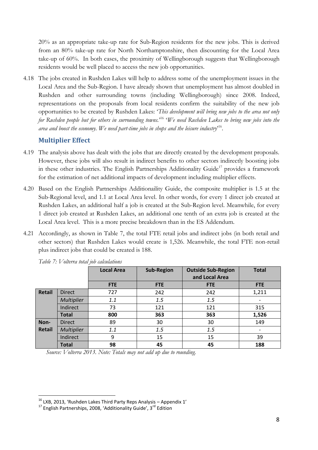20% as an appropriate take-up rate for Sub-Region residents for the new jobs. This is derived from an 80% take-up rate for North Northamptonshire, then discounting for the Local Area take-up of 60%. In both cases, the proximity of Wellingborough suggests that Wellingborough residents would be well placed to access the new job opportunities.

4.18 The jobs created in Rushden Lakes will help to address some of the unemployment issues in the Local Area and the Sub-Region. I have already shown that unemployment has almost doubled in Rushden and other surrounding towns (including Wellingborough) since 2008. Indeed, representations on the proposals from local residents confirm the suitability of the new job opportunities to be created by Rushden Lakes: '*This development will bring new jobs to the area not only for Rushden people but for others in surrounding towns.*' <sup>16</sup> '*We need Rushden Lakes to bring new jobs into the area and boost the economy. We need part-time jobs in shops and the leisure industry*' [16](#page-7-0) .

#### <span id="page-7-0"></span>**Multiplier Effect**

- 4.19 The analysis above has dealt with the jobs that are directly created by the development proposals. However, these jobs will also result in indirect benefits to other sectors indirectly boosting jobs in these other industries. The English Partnerships Additionality Guide<sup>17</sup> provides a framework for the estimation of net additional impacts of development including multiplier effects.
- 4.20 Based on the English Partnerships Additionaility Guide, the composite multiplier is 1.5 at the Sub-Regional level, and 1.1 at Local Area level. In other words, for every 1 direct job created at Rushden Lakes, an additional half a job is created at the Sub-Region level. Meanwhile, for every 1 direct job created at Rushden Lakes, an additional one tenth of an extra job is created at the Local Area level. This is a more precise breakdown than in the ES Addendum.
- 4.21 Accordingly, as shown in Table 7, the total FTE retail jobs and indirect jobs (in both retail and other sectors) that Rushden Lakes would create is 1,526. Meanwhile, the total FTE non-retail plus indirect jobs that could be created is 188.

|               |                   | <b>Local Area</b> | <b>Sub-Region</b> | <b>Outside Sub-Region</b><br>and Local Area | <b>Total</b>             |
|---------------|-------------------|-------------------|-------------------|---------------------------------------------|--------------------------|
|               |                   | <b>FTE</b>        | <b>FTE</b>        | <b>FTE</b>                                  | <b>FTE</b>               |
| <b>Retail</b> | <b>Direct</b>     | 727               | 242               | 242                                         | 1,211                    |
|               | <b>Multiplier</b> | 1.1               | 1.5               | 1.5                                         | $\overline{\phantom{a}}$ |
|               | Indirect          | 73                | 121               | 121                                         | 315                      |
|               | <b>Total</b>      | 800               | 363               | 363                                         | 1,526                    |
| Non-          | <b>Direct</b>     | 89                | 30                | 30                                          | 149                      |
| <b>Retail</b> | <b>Multiplier</b> | 1.1               | 1.5               | 1.5                                         | $\overline{\phantom{a}}$ |
|               | Indirect          | 9                 | 15                | 15                                          | 39                       |
|               | <b>Total</b>      | 98                | 45                | 45                                          | 188                      |

*Table 7: Volterra total job calculations* 

*Source: Volterra 2013. Note: Totals may not add up due to rounding.*

 $^{16}$  LXB, 2013, 'Rushden Lakes Third Party Reps Analysis – Appendix 1'

 $17$  English Partnerships, 2008, 'Additionality Guide', 3<sup>rd</sup> Edition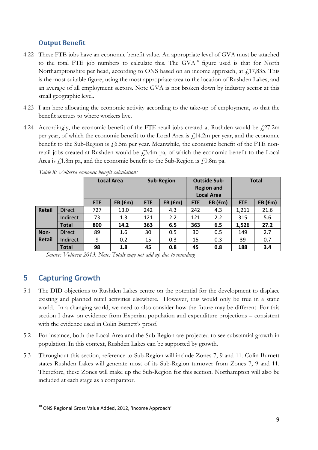### **Output Benefit**

- 4.22 These FTE jobs have an economic benefit value. An appropriate level of GVA must be attached to the total FTE job numbers to calculate this. The  $GVA^{18}$  figure used is that for North Northamptonshire per head, according to ONS based on an income approach, at  $f_1$ 17,835. This is the most suitable figure, using the most appropriate area to the location of Rushden Lakes, and an average of all employment sectors. Note GVA is not broken down by industry sector at this small geographic level.
- 4.23 I am here allocating the economic activity according to the take-up of employment, so that the benefit accrues to where workers live.
- 4.24 Accordingly, the economic benefit of the FTE retail jobs created at Rushden would be  $f(27.2m)$ per year, of which the economic benefit to the Local Area is  $f$ 14.2m per year, and the economic benefit to the Sub-Region is  $f_0$ . 5m per year. Meanwhile, the economic benefit of the FTE nonretail jobs created at Rushden would be  $\dot{\gamma}$  3.4m pa, of which the economic benefit to the Local Area is  $f_1$ 1.8m pa, and the economic benefit to the Sub-Region is  $f_1$ 0.8m pa.

|               |               |            | <b>Local Area</b> |            | <b>Sub-Region</b> |            | <b>Outside Sub-</b><br><b>Region and</b><br><b>Local Area</b> |            | <b>Total</b>  |
|---------------|---------------|------------|-------------------|------------|-------------------|------------|---------------------------------------------------------------|------------|---------------|
|               |               | <b>FTE</b> | $EB$ ( $Em$ )     | <b>FTE</b> | $EB$ ( $Em$ )     | <b>FTE</b> | $EB$ ( $Em$ )                                                 | <b>FTE</b> | $EB$ ( $Em$ ) |
| <b>Retail</b> | <b>Direct</b> | 727        | 13.0              | 242        | 4.3               | 242        | 4.3                                                           | 1,211      | 21.6          |
|               | Indirect      | 73         | 1.3               | 121        | 2.2               | 121        | 2.2                                                           | 315        | 5.6           |
|               | <b>Total</b>  | 800        | 14.2              | 363        | 6.5               | 363        | 6.5                                                           | 1,526      | 27.2          |
| Non-          | <b>Direct</b> | 89         | 1.6               | 30         | 0.5               | 30         | 0.5                                                           | 149        | 2.7           |
| <b>Retail</b> | Indirect      | 9          | 0.2               | 15         | 0.3               | 15         | 0.3                                                           | 39         | 0.7           |
|               | <b>Total</b>  | 98         | 1.8               | 45         | 0.8               | 45         | 0.8                                                           | 188        | 3.4           |

*Table 8: Volterra economic benefit calculations* 

*Source: Volterra 2013. Note: Totals may not add up due to rounding*

# **5 Capturing Growth**

- 5.1 The DJD objections to Rushden Lakes centre on the potential for the development to displace existing and planned retail activities elsewhere. However, this would only be true in a static world. In a changing world, we need to also consider how the future may be different. For this section I draw on evidence from Experian population and expenditure projections – consistent with the evidence used in Colin Burnett's proof.
- 5.2 For instance, both the Local Area and the Sub-Region are projected to see substantial growth in population. In this context, Rushden Lakes can be supported by growth.
- 5.3 Throughout this section, reference to Sub-Region will include Zones 7, 9 and 11. Colin Burnett states Rushden Lakes will generate most of its Sub-Region turnover from Zones 7, 9 and 11. Therefore, these Zones will make up the Sub-Region for this section. Northampton will also be included at each stage as a comparator.

**<sup>.</sup>** <sup>18</sup> ONS Regional Gross Value Added, 2012, 'Income Approach'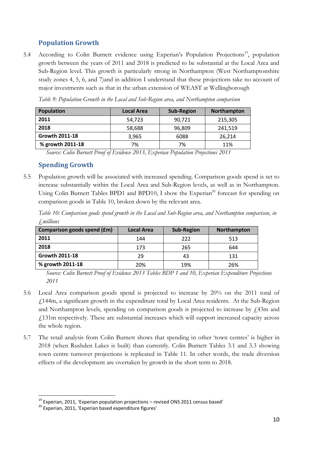# **Population Growth**

5.4 According to Colin Burnett evidence using Experian's Population Projections<sup>19</sup>, population growth between the years of 2011 and 2018 is predicted to be substantial at the Local Area and Sub-Region level. This growth is particularly strong in Northampton (West Northamptonshire study zones 4, 5, 6, and 7)and in addition I understand that these projections take no account of major investments such as that in the urban extension of WEAST at Wellingborough

| Population            | <b>Local Area</b> | <b>Sub-Region</b> | <b>Northampton</b> |
|-----------------------|-------------------|-------------------|--------------------|
| 2011                  | 54.723            | 90,721            | 215,305            |
| 2018                  | 58,688            | 96,809            | 241,519            |
| <b>Growth 2011-18</b> | 3,965             | 6088              | 26,214             |
| % growth 2011-18      | 7%                | 7%                | 11%                |

*Table 9: Population Growth in the Local and Sub-Region area, and Northampton comparison*

*Source: Colin Burnett Proof of Evidence 2013, Experian Population Projections 2011* 

#### **Spending Growth**

5.5 Population growth will be associated with increased spending. Comparison goods spend is set to increase substantially within the Local Area and Sub-Region levels, as well as in Northampton. Using Colin Burnett Tables BPD1 and BPD10, I show the Experian<sup>20</sup> forecast for spending on comparison goods in Table 10, broken down by the relevant area.

*Table 10: Comparison goods spend growth in the Local and Sub-Region area, and Northampton comparison, in £millions*

| Comparison goods spend (£m) | <b>Local Area</b> | <b>Sub-Region</b> | Northampton |
|-----------------------------|-------------------|-------------------|-------------|
| 2011                        | 144               | 222               | 513         |
| 2018                        | 173               | 265               | 644         |
| <b>Growth 2011-18</b>       | 29                | 43                | 131         |
| % growth 2011-18            | 20%               | 19%               | 26%         |

*Source: Colin Burnett Proof of Evidence 2013 Tables BDP 1 and 10, Experian Expenditure Projections 2011* 

- 5.6 Local Area comparison goods spend is projected to increase by 20% on the 2011 total of £144m, a significant growth in the expenditure total by Local Area residents. At the Sub-Region and Northampton levels, spending on comparison goods is projected to increase by  $f<sub>1</sub>43m$  and £131m respectively. These are substantial increases which will support increased capacity across the whole region.
- 5.7 The retail analysis from Colin Burnett shows that spending in other 'town centres' is higher in 2018 (when Rushden Lakes is built) than currently. Colin Burnett Tables 3.1 and 3.3 showing town centre turnover projections is replicated in Table 11. In other words, the trade diversion effects of the development are overtaken by growth in the short term to 2018.

 $^{19}$  Experian, 2011, 'Experian population projections – revised ONS 2011 census based'

 $20$  Experian. 2011, 'Experian based expenditure figures'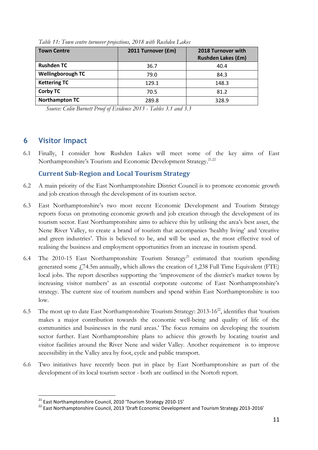| <b>Town Centre</b>       | 2011 Turnover (£m) | 2018 Turnover with<br><b>Rushden Lakes (£m)</b> |
|--------------------------|--------------------|-------------------------------------------------|
| <b>Rushden TC</b>        | 36.7               | 40.4                                            |
| <b>Wellingborough TC</b> | 79.0               | 84.3                                            |
| <b>Kettering TC</b>      | 129.1              | 148.3                                           |
| <b>Corby TC</b>          | 70.5               | 81.2                                            |
| <b>Northampton TC</b>    | 289.8              | 328.9                                           |

*Table 11: Town centre turnover projections, 2018 with Rushden Lakes*

*Source: Colin Burnett Proof of Evidence 2013 - Tables 3.1 and 3.3*

#### **6 Visitor Impact**

**.** 

6.1 Finally, I consider how Rushden Lakes will meet some of the key aims of East Northamptonshire's Tourism and Economic Development Strategy.<sup>21,22</sup>

#### <span id="page-10-1"></span><span id="page-10-0"></span>**Current Sub-Region and Local Tourism Strategy**

- 6.2 A main priority of the East Northamptonshire District Council is to promote economic growth and job creation through the development of its tourism sector.
- 6.3 East Northamptonshire's two most recent Economic Development and Tourism Strategy reports focus on promoting economic growth and job creation through the development of its tourism sector. East Northamptonshire aims to achieve this by utilising the area's best asset, the Nene River Valley, to create a brand of tourism that accompanies 'healthy living' and 'creative and green industries'. This is believed to be, and will be used as, the most effective tool of realising the business and employment opportunities from an increase in tourism spend.
- 6.4 The 2010-15 East Northamptonshire Tourism Strategy<sup>[21](#page-10-0)</sup> estimated that tourism spending generated some  $f$ 74.5m annually, which allows the creation of 1,238 Full Time Equivalent (FTE) local jobs. The report describes supporting the 'improvement of the district's market towns by increasing visitor numbers' as an essential corporate outcome of East Northamptonshire's strategy. The current size of tourism numbers and spend within East Northamptonshire is too low.
- 6.5 The most up to date East Northamptonshire Tourism Strategy: 2013-16[22](#page-10-1), identifies that 'tourism makes a major contribution towards the economic well-being and quality of life of the communities and businesses in the rural areas.' The focus remains on developing the tourism sector further. East Northamptonshire plans to achieve this growth by locating tourist and visitor facilities around the River Nene and wider Valley. Another requirement is to improve accessibility in the Valley area by foot, cycle and public transport.
- 6.6 Two initiatives have recently been put in place by East Northamptonshire as part of the development of its local tourism sector - both are outlined in the Nortoft report.

<sup>&</sup>lt;sup>21</sup> East Northamptonshire Council, 2010 'Tourism Strategy 2010-15'

<sup>&</sup>lt;sup>22</sup> East Northamptonshire Council, 2013 'Draft Economic Development and Tourism Strategy 2013-2016'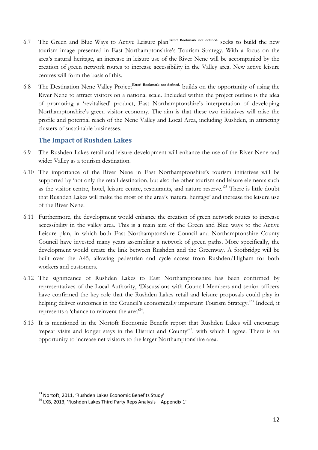- 6.7 The Green and Blue Ways to Active Leisure plan**Error! Bookmark not defined.** seeks to build the new tourism image presented in East Northamptonshire's Tourism Strategy. With a focus on the area's natural heritage, an increase in leisure use of the River Nene will be accompanied by the creation of green network routes to increase accessibility in the Valley area. New active leisure centres will form the basis of this.
- 6.8 The Destination Nene Valley Project**Error! Bookmark not defined.** builds on the opportunity of using the River Nene to attract visitors on a national scale. Included within the project outline is the idea of promoting a 'revitalised' product, East Northamptonshire's interpretation of developing Northamptonshire's green visitor economy. The aim is that these two initiatives will raise the profile and potential reach of the Nene Valley and Local Area, including Rushden, in attracting clusters of sustainable businesses.

#### <span id="page-11-0"></span>**The Impact of Rushden Lakes**

- 6.9 The Rushden Lakes retail and leisure development will enhance the use of the River Nene and wider Valley as a tourism destination.
- 6.10 The importance of the River Nene in East Northamptonshire's tourism initiatives will be supported by 'not only the retail destination, but also the other tourism and leisure elements such as the visitor centre, hotel, leisure centre, restaurants, and nature reserve.<sup>23</sup> There is little doubt that Rushden Lakes will make the most of the area's 'natural heritage' and increase the leisure use of the River Nene.
- 6.11 Furthermore, the development would enhance the creation of green network routes to increase accessibility in the valley area. This is a main aim of the Green and Blue ways to the Active Leisure plan, in which both East Northamptonshire Council and Northamptonshire County Council have invested many years assembling a network of green paths. More specifically, the development would create the link between Rushden and the Greenway. A footbridge will be built over the A45, allowing pedestrian and cycle access from Rushden/Higham for both workers and customers.
- 6.12 The significance of Rushden Lakes to East Northamptonshire has been confirmed by representatives of the Local Authority, 'Discussions with Council Members and senior officers have confirmed the key role that the Rushden Lakes retail and leisure proposals could play in helping deliver outcomes in the Council's economically important Tourism Strategy.<sup>[23](#page-11-0)</sup> Indeed, it represents a 'chance to reinvent the area'<sup>24</sup>.
- 6.13 It is mentioned in the Nortoft Economic Benefit report that Rushden Lakes will encourage 'repeat visits and longer stays in the District and County<sup>[23](#page-11-0)</sup>, with which I agree. There is an opportunity to increase net visitors to the larger Northamptonshire area.

**<sup>.</sup>** <sup>23</sup> Nortoft, 2011, 'Rushden Lakes Economic Benefits Study'

 $24$  LXB, 2013, 'Rushden Lakes Third Party Reps Analysis – Appendix 1'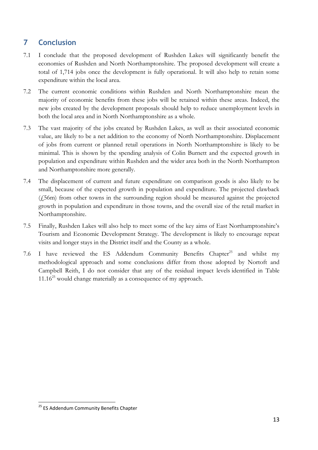# **7 Conclusion**

- 7.1 I conclude that the proposed development of Rushden Lakes will significantly benefit the economies of Rushden and North Northamptonshire. The proposed development will create a total of 1,714 jobs once the development is fully operational. It will also help to retain some expenditure within the local area.
- 7.2 The current economic conditions within Rushden and North Northamptonshire mean the majority of economic benefits from these jobs will be retained within these areas. Indeed, the new jobs created by the development proposals should help to reduce unemployment levels in both the local area and in North Northamptonshire as a whole.
- 7.3 The vast majority of the jobs created by Rushden Lakes, as well as their associated economic value, are likely to be a net addition to the economy of North Northamptonshire. Displacement of jobs from current or planned retail operations in North Northamptonshire is likely to be minimal. This is shown by the spending analysis of Colin Burnett and the expected growth in population and expenditure within Rushden and the wider area both in the North Northampton and Northamptonshire more generally.
- 7.4 The displacement of current and future expenditure on comparison goods is also likely to be small, because of the expected growth in population and expenditure. The projected clawback (£56m) from other towns in the surrounding region should be measured against the projected growth in population and expenditure in those towns, and the overall size of the retail market in Northamptonshire.
- 7.5 Finally, Rushden Lakes will also help to meet some of the key aims of East Northamptonshire's Tourism and Economic Development Strategy. The development is likely to encourage repeat visits and longer stays in the District itself and the County as a whole.
- <span id="page-12-0"></span>7.6 I have reviewed the ES Addendum Community Benefits Chapter<sup>[25](#page-12-0)</sup> and whilst my methodological approach and some conclusions differ from those adopted by Nortoft and Campbell Reith, I do not consider that any of the residual impact levels identified in Table  $11.16^{25}$  would change materially as a consequence of my approach.

<sup>&</sup>lt;sup>25</sup> ES Addendum Community Benefits Chapter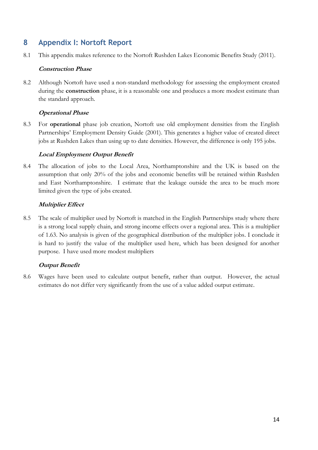# **8 Appendix I: Nortoft Report**

8.1 This appendix makes reference to the Nortoft Rushden Lakes Economic Benefits Study (2011).

#### **Construction Phase**

8.2 Although Nortoft have used a non-standard methodology for assessing the employment created during the **construction** phase, it is a reasonable one and produces a more modest estimate than the standard approach.

#### **Operational Phase**

8.3 For **operational** phase job creation, Nortoft use old employment densities from the English Partnerships' Employment Density Guide (2001). This generates a higher value of created direct jobs at Rushden Lakes than using up to date densities. However, the difference is only 195 jobs.

#### **Local Employment Output Benefit**

8.4 The allocation of jobs to the Local Area, Northamptonshire and the UK is based on the assumption that only 20% of the jobs and economic benefits will be retained within Rushden and East Northamptonshire. I estimate that the leakage outside the area to be much more limited given the type of jobs created.

#### **Multiplier Effect**

8.5 The scale of multiplier used by Nortoft is matched in the English Partnerships study where there is a strong local supply chain, and strong income effects over a regional area. This is a multiplier of 1.63. No analysis is given of the geographical distribution of the multiplier jobs. I conclude it is hard to justify the value of the multiplier used here, which has been designed for another purpose. I have used more modest multipliers

#### **Output Benefit**

8.6 Wages have been used to calculate output benefit, rather than output. However, the actual estimates do not differ very significantly from the use of a value added output estimate.